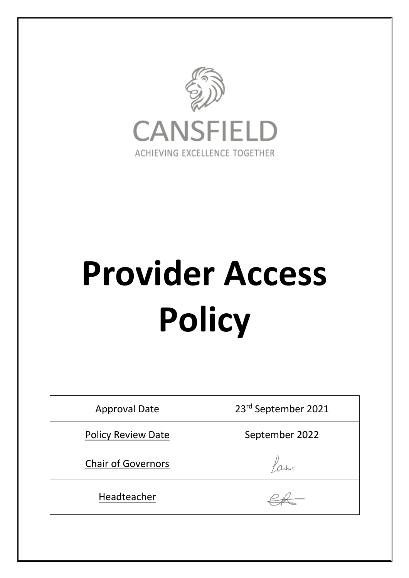

# **Provider Access Policy**

| <b>Approval Date</b>      | 23rd September 2021 |
|---------------------------|---------------------|
| <b>Policy Review Date</b> | September 2022      |
| <b>Chair of Governors</b> |                     |
| Headteacher               |                     |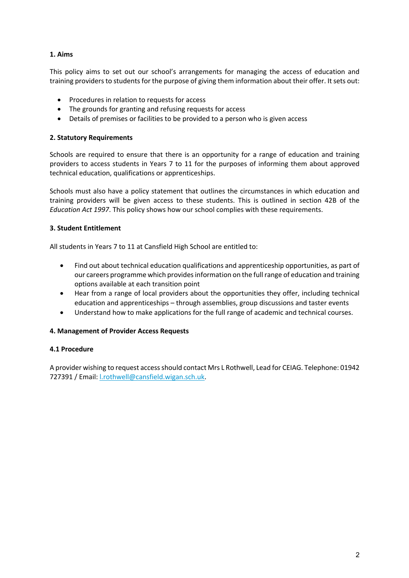## **1. Aims**

This policy aims to set out our school's arrangements for managing the access of education and training providers to students for the purpose of giving them information about their offer. It sets out:

- Procedures in relation to requests for access
- The grounds for granting and refusing requests for access
- Details of premises or facilities to be provided to a person who is given access

## **2. Statutory Requirements**

Schools are required to ensure that there is an opportunity for a range of education and training providers to access students in Years 7 to 11 for the purposes of informing them about approved technical education, qualifications or apprenticeships.

Schools must also have a policy statement that outlines the circumstances in which education and training providers will be given access to these students. This is outlined in section 42B of the *Education Act 1997*. This policy shows how our school complies with these requirements.

## **3. Student Entitlement**

All students in Years 7 to 11 at Cansfield High School are entitled to:

- Find out about technical education qualifications and apprenticeship opportunities, as part of our careers programme which provides information on the full range of education and training options available at each transition point
- Hear from a range of local providers about the opportunities they offer, including technical education and apprenticeships – through assemblies, group discussions and taster events
- Understand how to make applications for the full range of academic and technical courses.

## **4. Management of Provider Access Requests**

### **4.1 Procedure**

A provider wishing to request access should contact Mrs L Rothwell, Lead for CEIAG. Telephone: 01942 727391 / Email: l.rothwell@cansfield.wigan.sch.uk.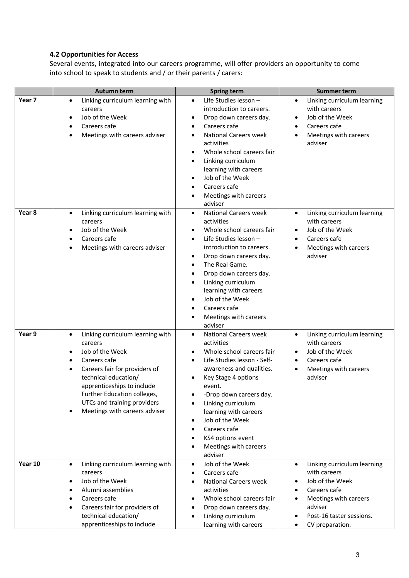# **4.2 Opportunities for Access**

Several events, integrated into our careers programme, will offer providers an opportunity to come into school to speak to students and / or their parents / carers:

|                   | <b>Autumn term</b>                                                                                                                                                                                                                                                                             | <b>Spring term</b>                                                                                                                                                                                                                                                                                                                                                                                     | <b>Summer term</b>                                                                                                                                                                                            |
|-------------------|------------------------------------------------------------------------------------------------------------------------------------------------------------------------------------------------------------------------------------------------------------------------------------------------|--------------------------------------------------------------------------------------------------------------------------------------------------------------------------------------------------------------------------------------------------------------------------------------------------------------------------------------------------------------------------------------------------------|---------------------------------------------------------------------------------------------------------------------------------------------------------------------------------------------------------------|
| Year <sub>7</sub> | Linking curriculum learning with<br>$\bullet$<br>careers<br>Job of the Week<br>Careers cafe<br>٠<br>Meetings with careers adviser                                                                                                                                                              | Life Studies lesson -<br>$\bullet$<br>introduction to careers.<br>Drop down careers day.<br>Careers cafe<br>$\bullet$<br><b>National Careers week</b><br>$\bullet$<br>activities<br>Whole school careers fair<br>Linking curriculum<br>$\bullet$<br>learning with careers<br>Job of the Week<br>Careers cafe<br>Meetings with careers<br>adviser                                                       | Linking curriculum learning<br>$\bullet$<br>with careers<br>Job of the Week<br>Careers cafe<br>٠<br>Meetings with careers<br>adviser                                                                          |
| Year <sub>8</sub> | Linking curriculum learning with<br>$\bullet$<br>careers<br>Job of the Week<br>$\bullet$<br>Careers cafe<br>Meetings with careers adviser<br>$\bullet$                                                                                                                                         | <b>National Careers week</b><br>$\bullet$<br>activities<br>Whole school careers fair<br>Life Studies lesson -<br>$\bullet$<br>introduction to careers.<br>Drop down careers day.<br>$\bullet$<br>The Real Game.<br>$\bullet$<br>Drop down careers day.<br>$\bullet$<br>Linking curriculum<br>learning with careers<br>Job of the Week<br>Careers cafe<br>$\bullet$<br>Meetings with careers<br>adviser | Linking curriculum learning<br>$\bullet$<br>with careers<br>Job of the Week<br>$\bullet$<br>Careers cafe<br>$\bullet$<br>Meetings with careers<br>$\bullet$<br>adviser                                        |
| Year 9            | Linking curriculum learning with<br>$\bullet$<br>careers<br>Job of the Week<br>Careers cafe<br>Careers fair for providers of<br>technical education/<br>apprenticeships to include<br>Further Education colleges,<br>UTCs and training providers<br>Meetings with careers adviser<br>$\bullet$ | <b>National Careers week</b><br>$\bullet$<br>activities<br>Whole school careers fair<br>Life Studies lesson - Self-<br>awareness and qualities.<br>Key Stage 4 options<br>event.<br>-Drop down careers day.<br>Linking curriculum<br>learning with careers<br>Job of the Week<br>$\bullet$<br>Careers cafe<br>KS4 options event<br>$\bullet$<br>Meetings with careers<br>adviser                       | Linking curriculum learning<br>$\bullet$<br>with careers<br>Job of the Week<br>Careers cafe<br>Meetings with careers<br>٠<br>adviser                                                                          |
| Year 10           | Linking curriculum learning with<br>$\bullet$<br>careers<br>Job of the Week<br>٠<br>Alumni assemblies<br>Careers cafe<br>$\bullet$<br>Careers fair for providers of<br>٠<br>technical education/<br>apprenticeships to include                                                                 | Job of the Week<br>$\bullet$<br>Careers cafe<br>$\bullet$<br><b>National Careers week</b><br>activities<br>Whole school careers fair<br>Drop down careers day.<br>Linking curriculum<br>learning with careers                                                                                                                                                                                          | Linking curriculum learning<br>$\bullet$<br>with careers<br>Job of the Week<br>٠<br>Careers cafe<br>$\bullet$<br>Meetings with careers<br>$\bullet$<br>adviser<br>Post-16 taster sessions.<br>CV preparation. |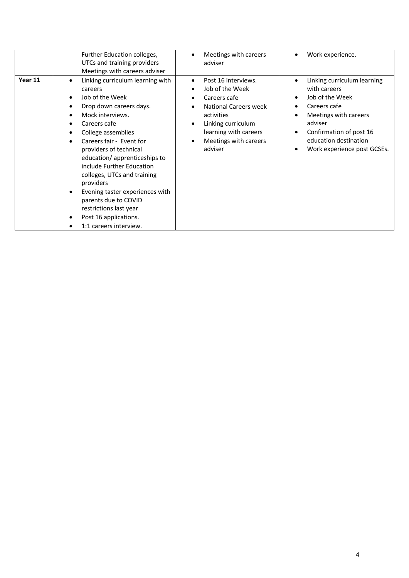|         | Further Education colleges,<br>UTCs and training providers<br>Meetings with careers adviser                                                                                                                                                                                                                                                                                                                                                                     | Meetings with careers<br>adviser                                                                                                                                                                     | Work experience.<br>$\bullet$                                                                                                                                                                                                                     |
|---------|-----------------------------------------------------------------------------------------------------------------------------------------------------------------------------------------------------------------------------------------------------------------------------------------------------------------------------------------------------------------------------------------------------------------------------------------------------------------|------------------------------------------------------------------------------------------------------------------------------------------------------------------------------------------------------|---------------------------------------------------------------------------------------------------------------------------------------------------------------------------------------------------------------------------------------------------|
| Year 11 | Linking curriculum learning with<br>careers<br>Job of the Week<br>Drop down careers days.<br>Mock interviews.<br>Careers cafe<br>College assemblies<br>٠<br>Careers fair - Event for<br>providers of technical<br>education/apprenticeships to<br>include Further Education<br>colleges, UTCs and training<br>providers<br>Evening taster experiences with<br>parents due to COVID<br>restrictions last year<br>Post 16 applications.<br>1:1 careers interview. | Post 16 interviews.<br>Job of the Week<br>$\bullet$<br>Careers cafe<br><b>National Careers week</b><br>activities<br>Linking curriculum<br>learning with careers<br>Meetings with careers<br>adviser | Linking curriculum learning<br>٠<br>with careers<br>Job of the Week<br>$\bullet$<br>Careers cafe<br>$\bullet$<br>Meetings with careers<br>adviser<br>Confirmation of post 16<br>$\bullet$<br>education destination<br>Work experience post GCSEs. |